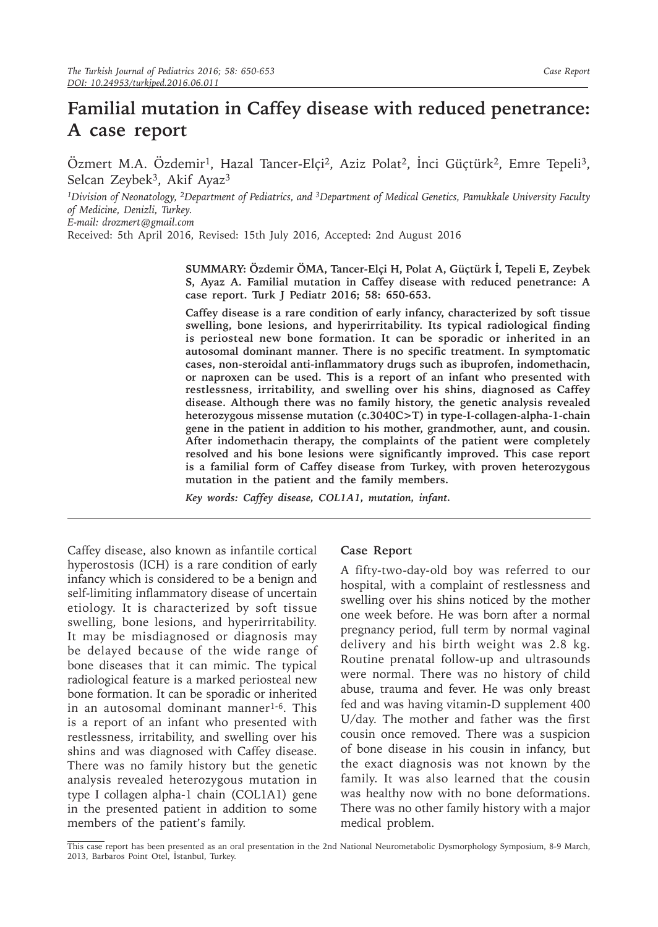## **Familial mutation in Caffey disease with reduced penetrance: A case report**

Özmert M.A. Özdemir<sup>1</sup>, Hazal Tancer-Elçi<sup>2</sup>, Aziz Polat<sup>2</sup>, İnci Güçtürk<sup>2</sup>, Emre Tepeli<sup>3</sup>, Selcan Zeybek<sup>3</sup>, Akif Ayaz<sup>3</sup>

*<sup>1</sup>Division of Neonatology, 2Department of Pediatrics, and 3Department of Medical Genetics, Pamukkale University Faculty of Medicine, Denizli, Turkey. E-mail: drozmert@gmail.com*

Received: 5th April 2016, Revised: 15th July 2016, Accepted: 2nd August 2016

**SUMMARY: Özdemir ÖMA, Tancer-Elçi H, Polat A, Güçtürk İ, Tepeli E, Zeybek S, Ayaz A. Familial mutation in Caffey disease with reduced penetrance: A case report. Turk J Pediatr 2016; 58: 650-653.**

**Caffey disease is a rare condition of early infancy, characterized by soft tissue swelling, bone lesions, and hyperirritability. Its typical radiological finding is periosteal new bone formation. It can be sporadic or inherited in an autosomal dominant manner. There is no specific treatment. In symptomatic cases, non-steroidal anti-inflammatory drugs such as ibuprofen, indomethacin, or naproxen can be used. This is a report of an infant who presented with restlessness, irritability, and swelling over his shins, diagnosed as Caffey disease. Although there was no family history, the genetic analysis revealed heterozygous missense mutation (c.3040C>T) in type-I-collagen-alpha-1-chain gene in the patient in addition to his mother, grandmother, aunt, and cousin. After indomethacin therapy, the complaints of the patient were completely resolved and his bone lesions were significantly improved. This case report is a familial form of Caffey disease from Turkey, with proven heterozygous mutation in the patient and the family members.** 

*Key words: Caffey disease, COL1A1, mutation, infant.*

Caffey disease, also known as infantile cortical hyperostosis (ICH) is a rare condition of early infancy which is considered to be a benign and self-limiting inflammatory disease of uncertain etiology. It is characterized by soft tissue swelling, bone lesions, and hyperirritability. It may be misdiagnosed or diagnosis may be delayed because of the wide range of bone diseases that it can mimic. The typical radiological feature is a marked periosteal new bone formation. It can be sporadic or inherited in an autosomal dominant manner<sup>1-6</sup>. This is a report of an infant who presented with restlessness, irritability, and swelling over his shins and was diagnosed with Caffey disease. There was no family history but the genetic analysis revealed heterozygous mutation in type I collagen alpha-1 chain (COL1A1) gene in the presented patient in addition to some members of the patient's family.

## **Case Report**

A fifty-two-day-old boy was referred to our hospital, with a complaint of restlessness and swelling over his shins noticed by the mother one week before. He was born after a normal pregnancy period, full term by normal vaginal delivery and his birth weight was 2.8 kg. Routine prenatal follow-up and ultrasounds were normal. There was no history of child abuse, trauma and fever. He was only breast fed and was having vitamin-D supplement 400 U/day. The mother and father was the first cousin once removed. There was a suspicion of bone disease in his cousin in infancy, but the exact diagnosis was not known by the family. It was also learned that the cousin was healthy now with no bone deformations. There was no other family history with a major medical problem.

This case report has been presented as an oral presentation in the 2nd National Neurometabolic Dysmorphology Symposium, 8-9 March, 2013, Barbaros Point Otel, İstanbul, Turkey.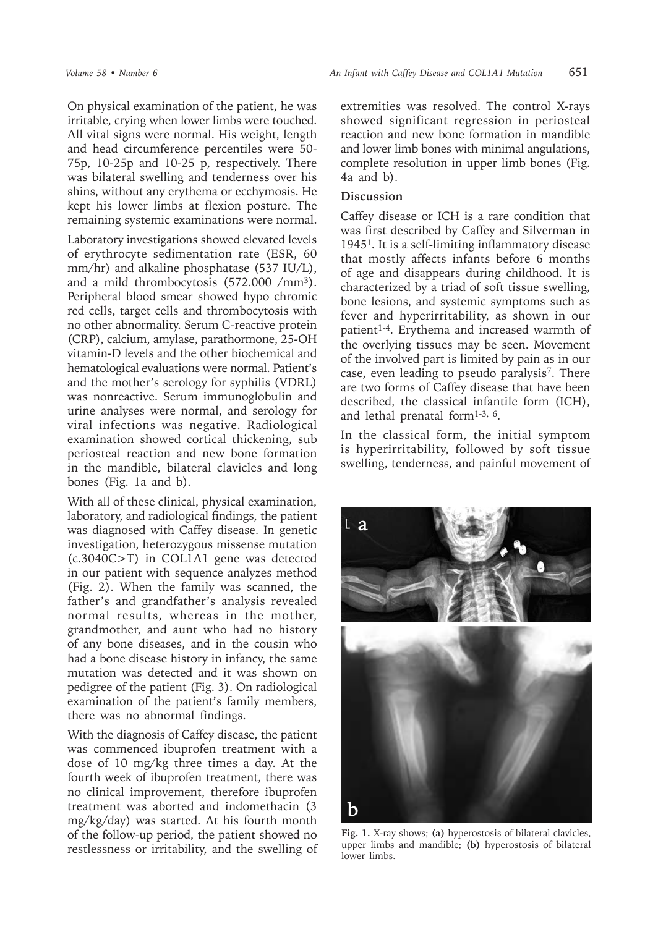On physical examination of the patient, he was irritable, crying when lower limbs were touched. All vital signs were normal. His weight, length and head circumference percentiles were 50- 75p, 10-25p and 10-25 p, respectively. There was bilateral swelling and tenderness over his shins, without any erythema or ecchymosis. He kept his lower limbs at flexion posture. The remaining systemic examinations were normal.

Laboratory investigations showed elevated levels of erythrocyte sedimentation rate (ESR, 60 mm/hr) and alkaline phosphatase (537 IU/L), and a mild thrombocytosis (572.000 /mm<sup>3</sup>). Peripheral blood smear showed hypo chromic red cells, target cells and thrombocytosis with no other abnormality. Serum C-reactive protein (CRP), calcium, amylase, parathormone, 25-OH vitamin-D levels and the other biochemical and hematological evaluations were normal. Patient's and the mother's serology for syphilis (VDRL) was nonreactive. Serum immunoglobulin and urine analyses were normal, and serology for viral infections was negative. Radiological examination showed cortical thickening, sub periosteal reaction and new bone formation in the mandible, bilateral clavicles and long bones (Fig. 1a and b).

With all of these clinical, physical examination, laboratory, and radiological findings, the patient was diagnosed with Caffey disease. In genetic investigation, heterozygous missense mutation (c.3040C>T) in COL1A1 gene was detected in our patient with sequence analyzes method (Fig. 2). When the family was scanned, the father's and grandfather's analysis revealed normal results, whereas in the mother, grandmother, and aunt who had no history of any bone diseases, and in the cousin who had a bone disease history in infancy, the same mutation was detected and it was shown on pedigree of the patient (Fig. 3). On radiological examination of the patient's family members, there was no abnormal findings.

With the diagnosis of Caffey disease, the patient was commenced ibuprofen treatment with a dose of 10 mg/kg three times a day. At the fourth week of ibuprofen treatment, there was no clinical improvement, therefore ibuprofen treatment was aborted and indomethacin (3 mg/kg/day) was started. At his fourth month of the follow-up period, the patient showed no restlessness or irritability, and the swelling of extremities was resolved. The control X-rays showed significant regression in periosteal reaction and new bone formation in mandible and lower limb bones with minimal angulations, complete resolution in upper limb bones (Fig. 4a and b).

## **Discussion**

Caffey disease or ICH is a rare condition that was first described by Caffey and Silverman in 19451. It is a self-limiting inflammatory disease that mostly affects infants before 6 months of age and disappears during childhood. It is characterized by a triad of soft tissue swelling, bone lesions, and systemic symptoms such as fever and hyperirritability, as shown in our patient<sup>1-4</sup>. Erythema and increased warmth of the overlying tissues may be seen. Movement of the involved part is limited by pain as in our case, even leading to pseudo paralysis<sup>7</sup>. There are two forms of Caffey disease that have been described, the classical infantile form (ICH), and lethal prenatal form $1-3$ ,  $6$ .

In the classical form, the initial symptom is hyperirritability, followed by soft tissue swelling, tenderness, and painful movement of



**Fig. 1.** X-ray shows; **(a)** hyperostosis of bilateral clavicles, upper limbs and mandible; **(b)** hyperostosis of bilateral lower limbs.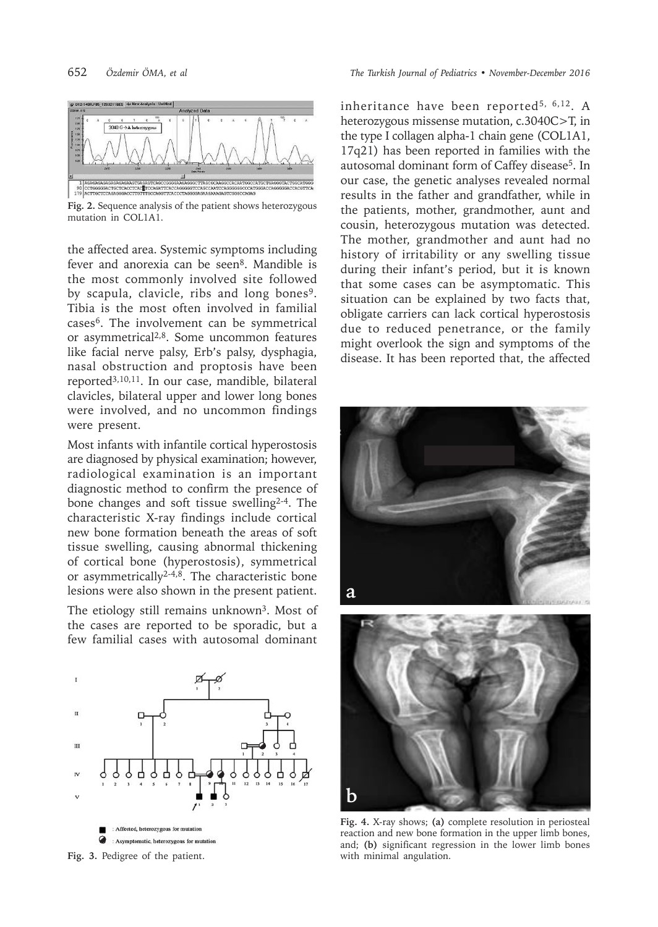

**Fig. 2.** Sequence analysis of the patient shows heterozygous mutation in COL1A1.

the affected area. Systemic symptoms including fever and anorexia can be seen<sup>8</sup>. Mandible is the most commonly involved site followed by scapula, clavicle, ribs and long bones<sup>9</sup>. Tibia is the most often involved in familial cases6. The involvement can be symmetrical or asymmetrical2,8. Some uncommon features like facial nerve palsy, Erb's palsy, dysphagia, nasal obstruction and proptosis have been reported3,10,11. In our case, mandible, bilateral clavicles, bilateral upper and lower long bones were involved, and no uncommon findings were present.

Most infants with infantile cortical hyperostosis are diagnosed by physical examination; however, radiological examination is an important diagnostic method to confirm the presence of bone changes and soft tissue swelling<sup>2-4</sup>. The characteristic X-ray findings include cortical new bone formation beneath the areas of soft tissue swelling, causing abnormal thickening of cortical bone (hyperostosis), symmetrical or asymmetrically<sup>2-4,8</sup>. The characteristic bone lesions were also shown in the present patient.

The etiology still remains unknown<sup>3</sup>. Most of the cases are reported to be sporadic, but a few familial cases with autosomal dominant



**Fig. 3.** Pedigree of the patient.

inheritance have been reported<sup>5, 6,12</sup>. A heterozygous missense mutation, c.3040C>T, in the type I collagen alpha-1 chain gene (COL1A1, 17q21) has been reported in families with the autosomal dominant form of Caffey disease<sup>5</sup>. In our case, the genetic analyses revealed normal results in the father and grandfather, while in the patients, mother, grandmother, aunt and cousin, heterozygous mutation was detected. The mother, grandmother and aunt had no history of irritability or any swelling tissue during their infant's period, but it is known that some cases can be asymptomatic. This situation can be explained by two facts that, obligate carriers can lack cortical hyperostosis due to reduced penetrance, or the family might overlook the sign and symptoms of the disease. It has been reported that, the affected



**Fig. 4.** X-ray shows; **(a)** complete resolution in periosteal reaction and new bone formation in the upper limb bones, and; **(b)** significant regression in the lower limb bones with minimal angulation.